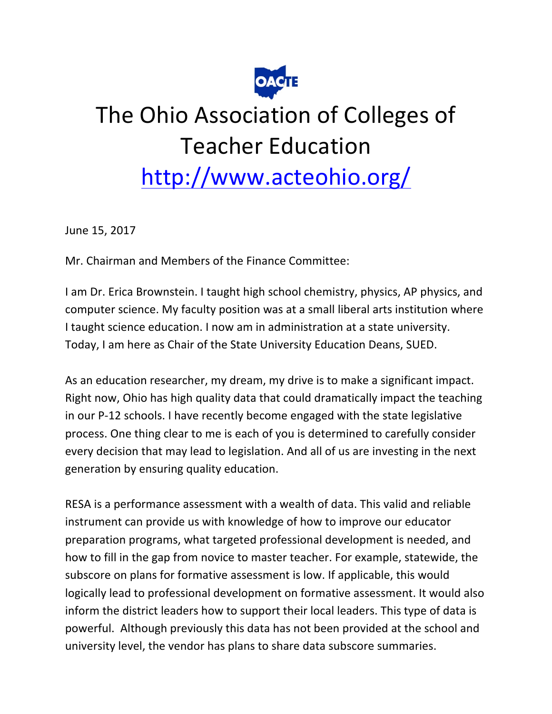

## The Ohio Association of Colleges of **Teacher Education**

## http://www.acteohio.org/

June 15, 2017

Mr. Chairman and Members of the Finance Committee:

I am Dr. Erica Brownstein. I taught high school chemistry, physics, AP physics, and computer science. My faculty position was at a small liberal arts institution where I taught science education. I now am in administration at a state university. Today, I am here as Chair of the State University Education Deans, SUED.

As an education researcher, my dream, my drive is to make a significant impact. Right now, Ohio has high quality data that could dramatically impact the teaching in our P-12 schools. I have recently become engaged with the state legislative process. One thing clear to me is each of you is determined to carefully consider every decision that may lead to legislation. And all of us are investing in the next generation by ensuring quality education.

RESA is a performance assessment with a wealth of data. This valid and reliable instrument can provide us with knowledge of how to improve our educator preparation programs, what targeted professional development is needed, and how to fill in the gap from novice to master teacher. For example, statewide, the subscore on plans for formative assessment is low. If applicable, this would logically lead to professional development on formative assessment. It would also inform the district leaders how to support their local leaders. This type of data is powerful. Although previously this data has not been provided at the school and university level, the vendor has plans to share data subscore summaries.